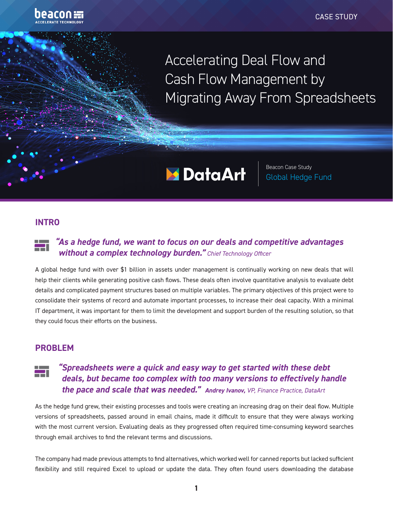

Accelerating Deal Flow and Cash Flow Management by Migrating Away From Spreadsheets

# **Mata Data Art**

Beacon Case Study Global Hedge Fund

### **INTRO**

#### *"As a hedge fund, we want to focus on our deals and competitive advantages*  Ħ *without a complex technology burden." Chief Technology Officer*

A global hedge fund with over \$1 billion in assets under management is continually working on new deals that will help their clients while generating positive cash flows. These deals often involve quantitative analysis to evaluate debt details and complicated payment structures based on multiple variables. The primary objectives of this project were to consolidate their systems of record and automate important processes, to increase their deal capacity. With a minimal IT department, it was important for them to limit the development and support burden of the resulting solution, so that they could focus their efforts on the business.

#### **PROBLEM**

## *"Spreadsheets were a quick and easy way to get started with these debt deals, but became too complex with too many versions to effectively handle the pace and scale that was needed." Andrey Ivanov, VP, Finance Practice, DataArt*

As the hedge fund grew, their existing processes and tools were creating an increasing drag on their deal flow. Multiple versions of spreadsheets, passed around in email chains, made it difficult to ensure that they were always working with the most current version. Evaluating deals as they progressed often required time-consuming keyword searches through email archives to find the relevant terms and discussions.

The company had made previous attempts to find alternatives, which worked well for canned reports but lacked sufficient flexibility and still required Excel to upload or update the data. They often found users downloading the database